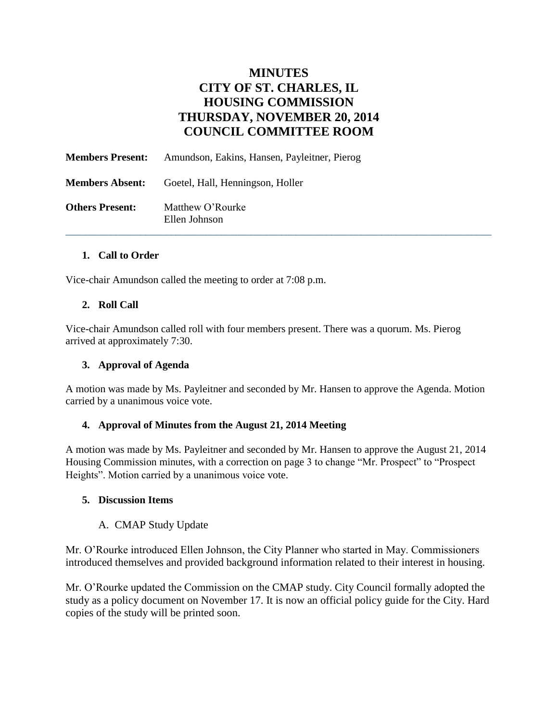# **MINUTES CITY OF ST. CHARLES, IL HOUSING COMMISSION THURSDAY, NOVEMBER 20, 2014 COUNCIL COMMITTEE ROOM**

| <b>Members Present:</b> | Amundson, Eakins, Hansen, Payleitner, Pierog |
|-------------------------|----------------------------------------------|
| <b>Members Absent:</b>  | Goetel, Hall, Henningson, Holler             |
| <b>Others Present:</b>  | Matthew O'Rourke<br>Ellen Johnson            |

## **1. Call to Order**

Vice-chair Amundson called the meeting to order at 7:08 p.m.

## **2. Roll Call**

Vice-chair Amundson called roll with four members present. There was a quorum. Ms. Pierog arrived at approximately 7:30.

#### **3. Approval of Agenda**

A motion was made by Ms. Payleitner and seconded by Mr. Hansen to approve the Agenda. Motion carried by a unanimous voice vote.

#### **4. Approval of Minutes from the August 21, 2014 Meeting**

A motion was made by Ms. Payleitner and seconded by Mr. Hansen to approve the August 21, 2014 Housing Commission minutes, with a correction on page 3 to change "Mr. Prospect" to "Prospect Heights". Motion carried by a unanimous voice vote.

#### **5. Discussion Items**

# A. CMAP Study Update

Mr. O'Rourke introduced Ellen Johnson, the City Planner who started in May. Commissioners introduced themselves and provided background information related to their interest in housing.

Mr. O'Rourke updated the Commission on the CMAP study. City Council formally adopted the study as a policy document on November 17. It is now an official policy guide for the City. Hard copies of the study will be printed soon.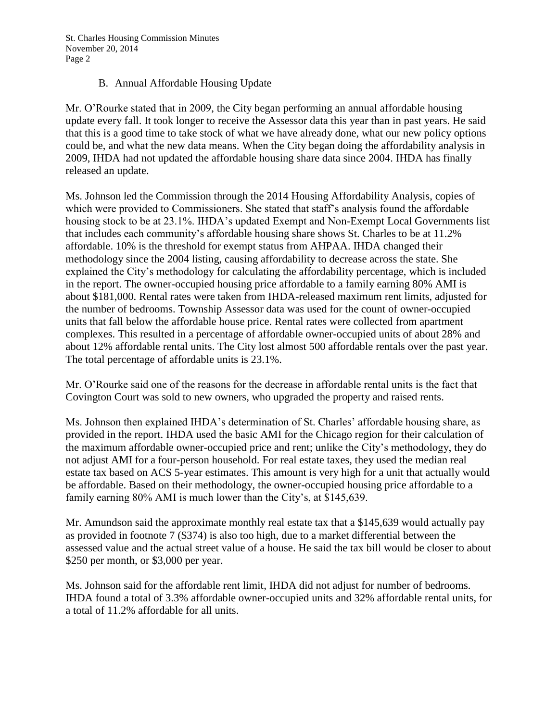St. Charles Housing Commission Minutes November 20, 2014 Page 2

## B. Annual Affordable Housing Update

Mr. O'Rourke stated that in 2009, the City began performing an annual affordable housing update every fall. It took longer to receive the Assessor data this year than in past years. He said that this is a good time to take stock of what we have already done, what our new policy options could be, and what the new data means. When the City began doing the affordability analysis in 2009, IHDA had not updated the affordable housing share data since 2004. IHDA has finally released an update.

Ms. Johnson led the Commission through the 2014 Housing Affordability Analysis, copies of which were provided to Commissioners. She stated that staff's analysis found the affordable housing stock to be at 23.1%. IHDA's updated Exempt and Non-Exempt Local Governments list that includes each community's affordable housing share shows St. Charles to be at 11.2% affordable. 10% is the threshold for exempt status from AHPAA. IHDA changed their methodology since the 2004 listing, causing affordability to decrease across the state. She explained the City's methodology for calculating the affordability percentage, which is included in the report. The owner-occupied housing price affordable to a family earning 80% AMI is about \$181,000. Rental rates were taken from IHDA-released maximum rent limits, adjusted for the number of bedrooms. Township Assessor data was used for the count of owner-occupied units that fall below the affordable house price. Rental rates were collected from apartment complexes. This resulted in a percentage of affordable owner-occupied units of about 28% and about 12% affordable rental units. The City lost almost 500 affordable rentals over the past year. The total percentage of affordable units is 23.1%.

Mr. O'Rourke said one of the reasons for the decrease in affordable rental units is the fact that Covington Court was sold to new owners, who upgraded the property and raised rents.

Ms. Johnson then explained IHDA's determination of St. Charles' affordable housing share, as provided in the report. IHDA used the basic AMI for the Chicago region for their calculation of the maximum affordable owner-occupied price and rent; unlike the City's methodology, they do not adjust AMI for a four-person household. For real estate taxes, they used the median real estate tax based on ACS 5-year estimates. This amount is very high for a unit that actually would be affordable. Based on their methodology, the owner-occupied housing price affordable to a family earning 80% AMI is much lower than the City's, at \$145,639.

Mr. Amundson said the approximate monthly real estate tax that a \$145,639 would actually pay as provided in footnote 7 (\$374) is also too high, due to a market differential between the assessed value and the actual street value of a house. He said the tax bill would be closer to about \$250 per month, or \$3,000 per year.

Ms. Johnson said for the affordable rent limit, IHDA did not adjust for number of bedrooms. IHDA found a total of 3.3% affordable owner-occupied units and 32% affordable rental units, for a total of 11.2% affordable for all units.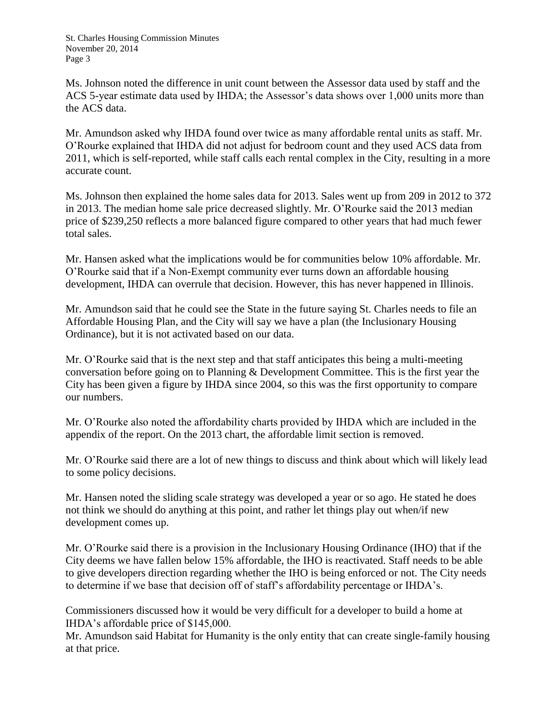St. Charles Housing Commission Minutes November 20, 2014 Page 3

Ms. Johnson noted the difference in unit count between the Assessor data used by staff and the ACS 5-year estimate data used by IHDA; the Assessor's data shows over 1,000 units more than the ACS data.

Mr. Amundson asked why IHDA found over twice as many affordable rental units as staff. Mr. O'Rourke explained that IHDA did not adjust for bedroom count and they used ACS data from 2011, which is self-reported, while staff calls each rental complex in the City, resulting in a more accurate count.

Ms. Johnson then explained the home sales data for 2013. Sales went up from 209 in 2012 to 372 in 2013. The median home sale price decreased slightly. Mr. O'Rourke said the 2013 median price of \$239,250 reflects a more balanced figure compared to other years that had much fewer total sales.

Mr. Hansen asked what the implications would be for communities below 10% affordable. Mr. O'Rourke said that if a Non-Exempt community ever turns down an affordable housing development, IHDA can overrule that decision. However, this has never happened in Illinois.

Mr. Amundson said that he could see the State in the future saying St. Charles needs to file an Affordable Housing Plan, and the City will say we have a plan (the Inclusionary Housing Ordinance), but it is not activated based on our data.

Mr. O'Rourke said that is the next step and that staff anticipates this being a multi-meeting conversation before going on to Planning & Development Committee. This is the first year the City has been given a figure by IHDA since 2004, so this was the first opportunity to compare our numbers.

Mr. O'Rourke also noted the affordability charts provided by IHDA which are included in the appendix of the report. On the 2013 chart, the affordable limit section is removed.

Mr. O'Rourke said there are a lot of new things to discuss and think about which will likely lead to some policy decisions.

Mr. Hansen noted the sliding scale strategy was developed a year or so ago. He stated he does not think we should do anything at this point, and rather let things play out when/if new development comes up.

Mr. O'Rourke said there is a provision in the Inclusionary Housing Ordinance (IHO) that if the City deems we have fallen below 15% affordable, the IHO is reactivated. Staff needs to be able to give developers direction regarding whether the IHO is being enforced or not. The City needs to determine if we base that decision off of staff's affordability percentage or IHDA's.

Commissioners discussed how it would be very difficult for a developer to build a home at IHDA's affordable price of \$145,000.

Mr. Amundson said Habitat for Humanity is the only entity that can create single-family housing at that price.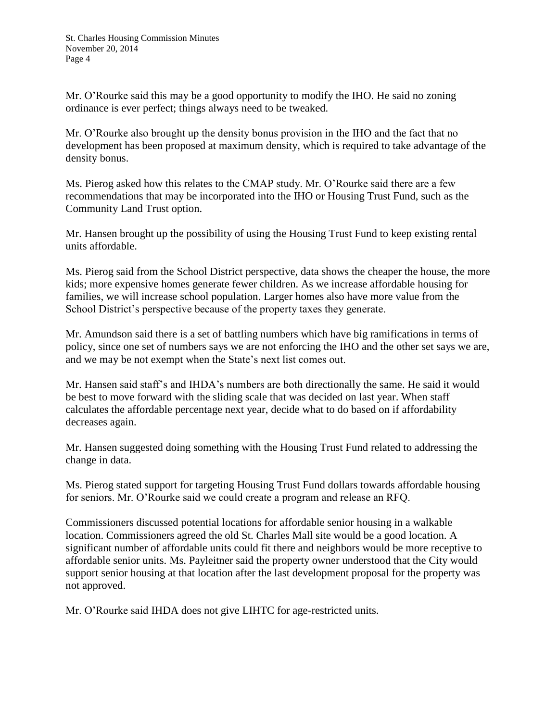Mr. O'Rourke said this may be a good opportunity to modify the IHO. He said no zoning ordinance is ever perfect; things always need to be tweaked.

Mr. O'Rourke also brought up the density bonus provision in the IHO and the fact that no development has been proposed at maximum density, which is required to take advantage of the density bonus.

Ms. Pierog asked how this relates to the CMAP study. Mr. O'Rourke said there are a few recommendations that may be incorporated into the IHO or Housing Trust Fund, such as the Community Land Trust option.

Mr. Hansen brought up the possibility of using the Housing Trust Fund to keep existing rental units affordable.

Ms. Pierog said from the School District perspective, data shows the cheaper the house, the more kids; more expensive homes generate fewer children. As we increase affordable housing for families, we will increase school population. Larger homes also have more value from the School District's perspective because of the property taxes they generate.

Mr. Amundson said there is a set of battling numbers which have big ramifications in terms of policy, since one set of numbers says we are not enforcing the IHO and the other set says we are, and we may be not exempt when the State's next list comes out.

Mr. Hansen said staff's and IHDA's numbers are both directionally the same. He said it would be best to move forward with the sliding scale that was decided on last year. When staff calculates the affordable percentage next year, decide what to do based on if affordability decreases again.

Mr. Hansen suggested doing something with the Housing Trust Fund related to addressing the change in data.

Ms. Pierog stated support for targeting Housing Trust Fund dollars towards affordable housing for seniors. Mr. O'Rourke said we could create a program and release an RFQ.

Commissioners discussed potential locations for affordable senior housing in a walkable location. Commissioners agreed the old St. Charles Mall site would be a good location. A significant number of affordable units could fit there and neighbors would be more receptive to affordable senior units. Ms. Payleitner said the property owner understood that the City would support senior housing at that location after the last development proposal for the property was not approved.

Mr. O'Rourke said IHDA does not give LIHTC for age-restricted units.